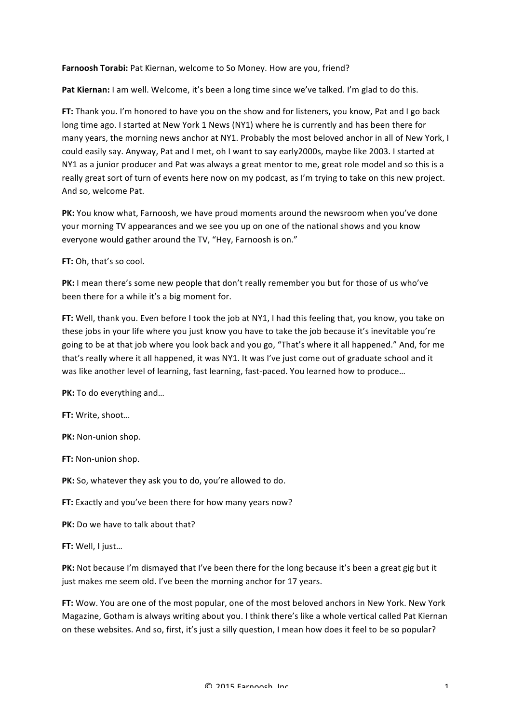Farnoosh Torabi: Pat Kiernan, welcome to So Money. How are you, friend?

Pat Kiernan: I am well. Welcome, it's been a long time since we've talked. I'm glad to do this.

**FT:** Thank you. I'm honored to have you on the show and for listeners, you know, Pat and I go back long time ago. I started at New York 1 News (NY1) where he is currently and has been there for many years, the morning news anchor at NY1. Probably the most beloved anchor in all of New York, I could easily say. Anyway, Pat and I met, oh I want to say early2000s, maybe like 2003. I started at NY1 as a junior producer and Pat was always a great mentor to me, great role model and so this is a really great sort of turn of events here now on my podcast, as I'm trying to take on this new project. And so, welcome Pat.

**PK:** You know what, Farnoosh, we have proud moments around the newsroom when you've done your morning TV appearances and we see you up on one of the national shows and you know everyone would gather around the TV, "Hey, Farnoosh is on."

**FT:** Oh, that's so cool.

**PK:** I mean there's some new people that don't really remember you but for those of us who've been there for a while it's a big moment for.

**FT:** Well, thank you. Even before I took the job at NY1, I had this feeling that, you know, you take on these jobs in your life where you just know you have to take the job because it's inevitable you're going to be at that job where you look back and you go, "That's where it all happened." And, for me that's really where it all happened, it was NY1. It was I've just come out of graduate school and it was like another level of learning, fast learning, fast-paced. You learned how to produce...

**PK:** To do everything and...

**FT: Write, shoot...** 

**PK:** Non-union shop.

**FT:** Non-union shop.

**PK:** So, whatever they ask you to do, you're allowed to do.

**FT:** Exactly and you've been there for how many years now?

**PK:** Do we have to talk about that?

**FT: Well, I just...** 

PK: Not because I'm dismayed that I've been there for the long because it's been a great gig but it just makes me seem old. I've been the morning anchor for 17 years.

FT: Wow. You are one of the most popular, one of the most beloved anchors in New York. New York Magazine, Gotham is always writing about you. I think there's like a whole vertical called Pat Kiernan on these websites. And so, first, it's just a silly question, I mean how does it feel to be so popular?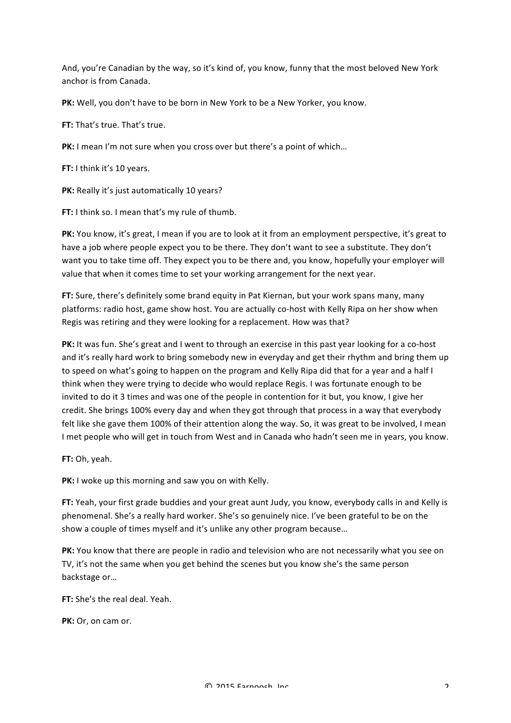And, you're Canadian by the way, so it's kind of, you know, funny that the most beloved New York anchor is from Canada.

**PK:** Well, you don't have to be born in New York to be a New Yorker, you know.

**FT:** That's true. That's true.

**PK:** I mean I'm not sure when you cross over but there's a point of which...

**FT:** I think it's 10 years.

**PK:** Really it's just automatically 10 years?

**FT:** I think so. I mean that's my rule of thumb.

PK: You know, it's great, I mean if you are to look at it from an employment perspective, it's great to have a job where people expect you to be there. They don't want to see a substitute. They don't want you to take time off. They expect you to be there and, you know, hopefully your employer will value that when it comes time to set your working arrangement for the next year.

**FT:** Sure, there's definitely some brand equity in Pat Kiernan, but your work spans many, many platforms: radio host, game show host. You are actually co-host with Kelly Ripa on her show when Regis was retiring and they were looking for a replacement. How was that?

**PK:** It was fun. She's great and I went to through an exercise in this past year looking for a co-host and it's really hard work to bring somebody new in everyday and get their rhythm and bring them up to speed on what's going to happen on the program and Kelly Ripa did that for a year and a half I think when they were trying to decide who would replace Regis. I was fortunate enough to be invited to do it 3 times and was one of the people in contention for it but, you know, I give her credit. She brings 100% every day and when they got through that process in a way that everybody felt like she gave them 100% of their attention along the way. So, it was great to be involved, I mean I met people who will get in touch from West and in Canada who hadn't seen me in years, you know.

**FT: Oh, yeah.** 

**PK:** I woke up this morning and saw you on with Kelly.

FT: Yeah, your first grade buddies and your great aunt Judy, you know, everybody calls in and Kelly is phenomenal. She's a really hard worker. She's so genuinely nice. I've been grateful to be on the show a couple of times myself and it's unlike any other program because...

PK: You know that there are people in radio and television who are not necessarily what you see on TV, it's not the same when you get behind the scenes but you know she's the same person backstage or...

 $FT:$  She's the real deal. Yeah.

**PK:** Or, on cam or.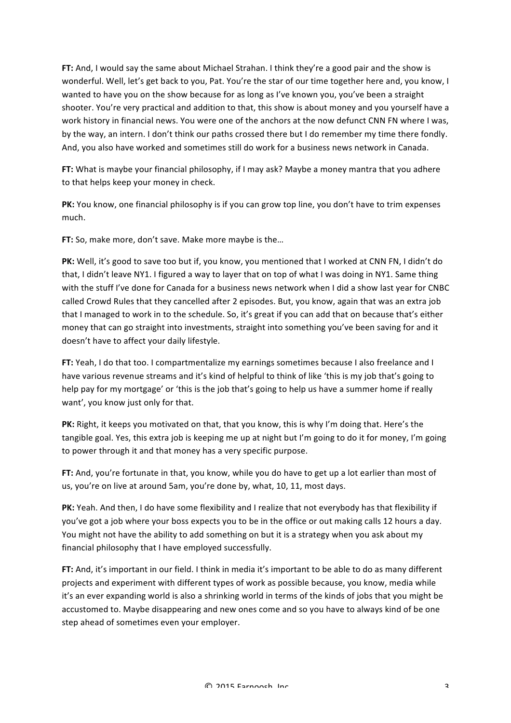**FT:** And, I would say the same about Michael Strahan. I think they're a good pair and the show is wonderful. Well, let's get back to you, Pat. You're the star of our time together here and, you know, I wanted to have you on the show because for as long as I've known you, you've been a straight shooter. You're very practical and addition to that, this show is about money and you yourself have a work history in financial news. You were one of the anchors at the now defunct CNN FN where I was, by the way, an intern. I don't think our paths crossed there but I do remember my time there fondly. And, you also have worked and sometimes still do work for a business news network in Canada.

**FT:** What is maybe your financial philosophy, if I may ask? Maybe a money mantra that you adhere to that helps keep your money in check.

**PK:** You know, one financial philosophy is if you can grow top line, you don't have to trim expenses much.

**FT:** So, make more, don't save. Make more maybe is the...

**PK:** Well, it's good to save too but if, you know, you mentioned that I worked at CNN FN, I didn't do that, I didn't leave NY1. I figured a way to layer that on top of what I was doing in NY1. Same thing with the stuff I've done for Canada for a business news network when I did a show last year for CNBC called Crowd Rules that they cancelled after 2 episodes. But, you know, again that was an extra job that I managed to work in to the schedule. So, it's great if you can add that on because that's either money that can go straight into investments, straight into something you've been saving for and it doesn't have to affect your daily lifestyle.

**FT:** Yeah, I do that too. I compartmentalize my earnings sometimes because I also freelance and I have various revenue streams and it's kind of helpful to think of like 'this is my job that's going to help pay for my mortgage' or 'this is the job that's going to help us have a summer home if really want', you know just only for that.

PK: Right, it keeps you motivated on that, that you know, this is why I'm doing that. Here's the tangible goal. Yes, this extra job is keeping me up at night but I'm going to do it for money, I'm going to power through it and that money has a very specific purpose.

**FT:** And, you're fortunate in that, you know, while you do have to get up a lot earlier than most of us, you're on live at around 5am, you're done by, what, 10, 11, most days.

**PK:** Yeah. And then, I do have some flexibility and I realize that not everybody has that flexibility if you've got a job where your boss expects you to be in the office or out making calls 12 hours a day. You might not have the ability to add something on but it is a strategy when you ask about my financial philosophy that I have employed successfully.

**FT:** And, it's important in our field. I think in media it's important to be able to do as many different projects and experiment with different types of work as possible because, you know, media while it's an ever expanding world is also a shrinking world in terms of the kinds of jobs that you might be accustomed to. Maybe disappearing and new ones come and so you have to always kind of be one step ahead of sometimes even your employer.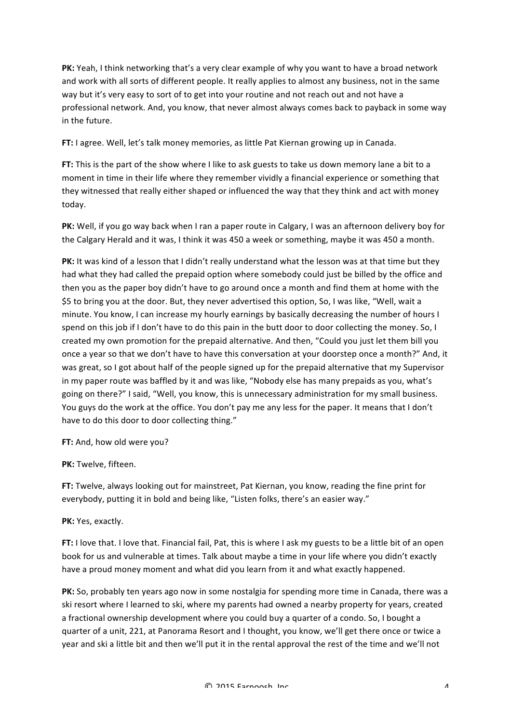PK: Yeah, I think networking that's a very clear example of why you want to have a broad network and work with all sorts of different people. It really applies to almost any business, not in the same way but it's very easy to sort of to get into your routine and not reach out and not have a professional network. And, you know, that never almost always comes back to payback in some way in the future.

**FT:** I agree. Well, let's talk money memories, as little Pat Kiernan growing up in Canada.

FT: This is the part of the show where I like to ask guests to take us down memory lane a bit to a moment in time in their life where they remember vividly a financial experience or something that they witnessed that really either shaped or influenced the way that they think and act with money today.

**PK:** Well, if you go way back when I ran a paper route in Calgary, I was an afternoon delivery boy for the Calgary Herald and it was, I think it was 450 a week or something, maybe it was 450 a month.

**PK:** It was kind of a lesson that I didn't really understand what the lesson was at that time but they had what they had called the prepaid option where somebody could just be billed by the office and then you as the paper boy didn't have to go around once a month and find them at home with the \$5 to bring you at the door. But, they never advertised this option, So, I was like, "Well, wait a minute. You know, I can increase my hourly earnings by basically decreasing the number of hours I spend on this job if I don't have to do this pain in the butt door to door collecting the money. So, I created my own promotion for the prepaid alternative. And then, "Could you just let them bill you once a year so that we don't have to have this conversation at your doorstep once a month?" And, it was great, so I got about half of the people signed up for the prepaid alternative that my Supervisor in my paper route was baffled by it and was like, "Nobody else has many prepaids as you, what's going on there?" I said, "Well, you know, this is unnecessary administration for my small business. You guys do the work at the office. You don't pay me any less for the paper. It means that I don't have to do this door to door collecting thing."

**FT:** And, how old were you?

PK: Twelve, fifteen.

**FT:** Twelve, always looking out for mainstreet, Pat Kiernan, you know, reading the fine print for everybody, putting it in bold and being like, "Listen folks, there's an easier way."

PK: Yes, exactly.

**FT:** I love that. I love that. Financial fail, Pat, this is where I ask my guests to be a little bit of an open book for us and vulnerable at times. Talk about maybe a time in your life where you didn't exactly have a proud money moment and what did you learn from it and what exactly happened.

PK: So, probably ten years ago now in some nostalgia for spending more time in Canada, there was a ski resort where I learned to ski, where my parents had owned a nearby property for years, created a fractional ownership development where you could buy a quarter of a condo. So, I bought a quarter of a unit, 221, at Panorama Resort and I thought, you know, we'll get there once or twice a year and ski a little bit and then we'll put it in the rental approval the rest of the time and we'll not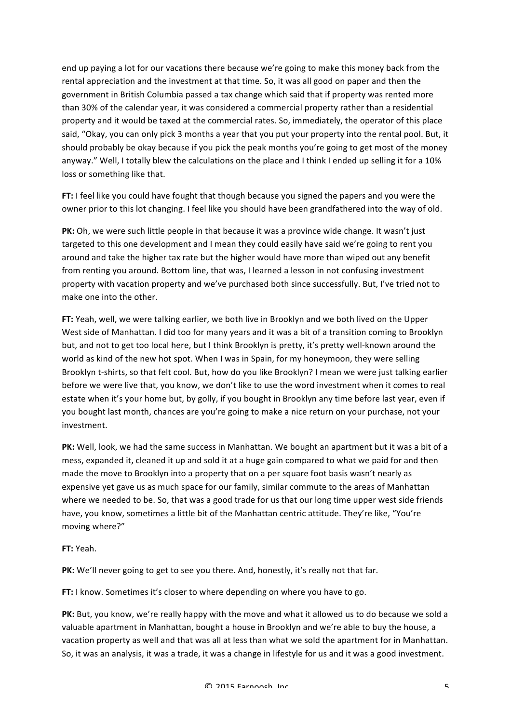end up paying a lot for our vacations there because we're going to make this money back from the rental appreciation and the investment at that time. So, it was all good on paper and then the government in British Columbia passed a tax change which said that if property was rented more than 30% of the calendar year, it was considered a commercial property rather than a residential property and it would be taxed at the commercial rates. So, immediately, the operator of this place said, "Okay, you can only pick 3 months a year that you put your property into the rental pool. But, it should probably be okay because if you pick the peak months you're going to get most of the money anyway." Well, I totally blew the calculations on the place and I think I ended up selling it for a 10% loss or something like that.

FT: I feel like you could have fought that though because you signed the papers and you were the owner prior to this lot changing. I feel like you should have been grandfathered into the way of old.

**PK:** Oh, we were such little people in that because it was a province wide change. It wasn't just targeted to this one development and I mean they could easily have said we're going to rent you around and take the higher tax rate but the higher would have more than wiped out any benefit from renting you around. Bottom line, that was, I learned a lesson in not confusing investment property with vacation property and we've purchased both since successfully. But, I've tried not to make one into the other.

**FT:** Yeah, well, we were talking earlier, we both live in Brooklyn and we both lived on the Upper West side of Manhattan. I did too for many years and it was a bit of a transition coming to Brooklyn but, and not to get too local here, but I think Brooklyn is pretty, it's pretty well-known around the world as kind of the new hot spot. When I was in Spain, for my honeymoon, they were selling Brooklyn t-shirts, so that felt cool. But, how do you like Brooklyn? I mean we were just talking earlier before we were live that, you know, we don't like to use the word investment when it comes to real estate when it's your home but, by golly, if you bought in Brooklyn any time before last year, even if you bought last month, chances are you're going to make a nice return on your purchase, not your investment.

**PK:** Well, look, we had the same success in Manhattan. We bought an apartment but it was a bit of a mess, expanded it, cleaned it up and sold it at a huge gain compared to what we paid for and then made the move to Brooklyn into a property that on a per square foot basis wasn't nearly as expensive yet gave us as much space for our family, similar commute to the areas of Manhattan where we needed to be. So, that was a good trade for us that our long time upper west side friends have, you know, sometimes a little bit of the Manhattan centric attitude. They're like, "You're moving where?"

**FT:** Yeah.

**PK:** We'll never going to get to see you there. And, honestly, it's really not that far.

**FT:** I know. Sometimes it's closer to where depending on where you have to go.

**PK:** But, you know, we're really happy with the move and what it allowed us to do because we sold a valuable apartment in Manhattan, bought a house in Brooklyn and we're able to buy the house, a vacation property as well and that was all at less than what we sold the apartment for in Manhattan. So, it was an analysis, it was a trade, it was a change in lifestyle for us and it was a good investment.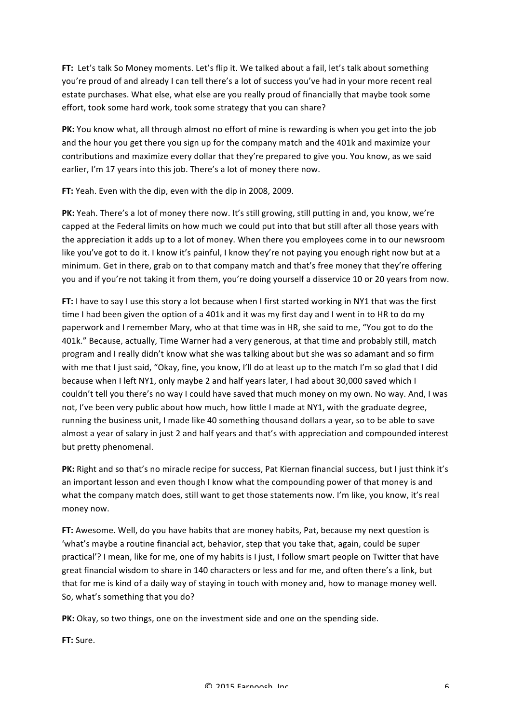FT: Let's talk So Money moments. Let's flip it. We talked about a fail, let's talk about something you're proud of and already I can tell there's a lot of success you've had in your more recent real estate purchases. What else, what else are you really proud of financially that maybe took some effort, took some hard work, took some strategy that you can share?

**PK:** You know what, all through almost no effort of mine is rewarding is when you get into the job and the hour you get there you sign up for the company match and the 401k and maximize your contributions and maximize every dollar that they're prepared to give you. You know, as we said earlier, I'm 17 years into this job. There's a lot of money there now.

**FT:** Yeah. Even with the dip, even with the dip in 2008, 2009.

PK: Yeah. There's a lot of money there now. It's still growing, still putting in and, you know, we're capped at the Federal limits on how much we could put into that but still after all those years with the appreciation it adds up to a lot of money. When there you employees come in to our newsroom like you've got to do it. I know it's painful, I know they're not paying you enough right now but at a minimum. Get in there, grab on to that company match and that's free money that they're offering you and if you're not taking it from them, you're doing yourself a disservice 10 or 20 years from now.

**FT:** I have to say I use this story a lot because when I first started working in NY1 that was the first time I had been given the option of a 401k and it was my first day and I went in to HR to do my paperwork and I remember Mary, who at that time was in HR, she said to me, "You got to do the 401k." Because, actually, Time Warner had a very generous, at that time and probably still, match program and I really didn't know what she was talking about but she was so adamant and so firm with me that I just said, "Okay, fine, you know, I'll do at least up to the match I'm so glad that I did because when I left NY1, only maybe 2 and half years later, I had about 30,000 saved which I couldn't tell you there's no way I could have saved that much money on my own. No way. And, I was not, I've been very public about how much, how little I made at NY1, with the graduate degree, running the business unit, I made like 40 something thousand dollars a year, so to be able to save almost a year of salary in just 2 and half years and that's with appreciation and compounded interest but pretty phenomenal.

PK: Right and so that's no miracle recipe for success, Pat Kiernan financial success, but I just think it's an important lesson and even though I know what the compounding power of that money is and what the company match does, still want to get those statements now. I'm like, you know, it's real money now.

FT: Awesome. Well, do you have habits that are money habits, Pat, because my next question is 'what's maybe a routine financial act, behavior, step that you take that, again, could be super practical'? I mean, like for me, one of my habits is I just, I follow smart people on Twitter that have great financial wisdom to share in 140 characters or less and for me, and often there's a link, but that for me is kind of a daily way of staying in touch with money and, how to manage money well. So, what's something that you do?

**PK:** Okay, so two things, one on the investment side and one on the spending side.

**FT:** Sure.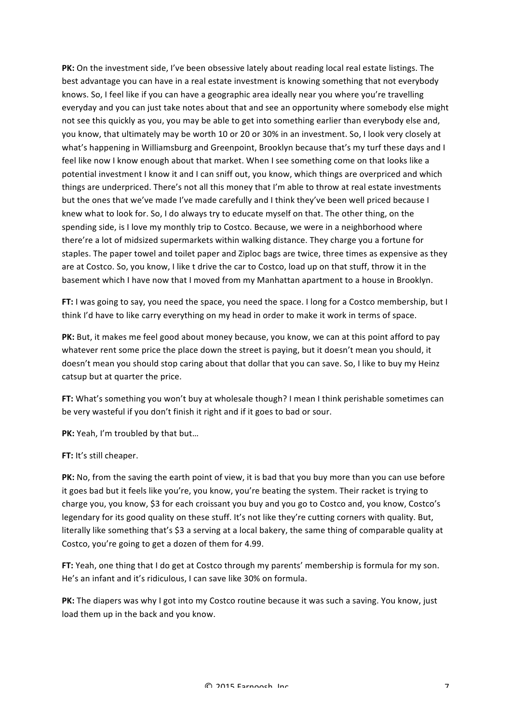PK: On the investment side, I've been obsessive lately about reading local real estate listings. The best advantage you can have in a real estate investment is knowing something that not everybody knows. So, I feel like if you can have a geographic area ideally near you where you're travelling everyday and you can just take notes about that and see an opportunity where somebody else might not see this quickly as you, you may be able to get into something earlier than everybody else and, you know, that ultimately may be worth 10 or 20 or 30% in an investment. So, I look very closely at what's happening in Williamsburg and Greenpoint, Brooklyn because that's my turf these days and I feel like now I know enough about that market. When I see something come on that looks like a potential investment I know it and I can sniff out, you know, which things are overpriced and which things are underpriced. There's not all this money that I'm able to throw at real estate investments but the ones that we've made I've made carefully and I think they've been well priced because I knew what to look for. So, I do always try to educate myself on that. The other thing, on the spending side, is I love my monthly trip to Costco. Because, we were in a neighborhood where there're a lot of midsized supermarkets within walking distance. They charge you a fortune for staples. The paper towel and toilet paper and Ziploc bags are twice, three times as expensive as they are at Costco. So, you know, I like t drive the car to Costco, load up on that stuff, throw it in the basement which I have now that I moved from my Manhattan apartment to a house in Brooklyn.

**FT:** I was going to say, you need the space, you need the space. I long for a Costco membership, but I think I'd have to like carry everything on my head in order to make it work in terms of space.

**PK:** But, it makes me feel good about money because, you know, we can at this point afford to pay whatever rent some price the place down the street is paying, but it doesn't mean you should, it doesn't mean you should stop caring about that dollar that you can save. So, I like to buy my Heinz catsup but at quarter the price.

FT: What's something you won't buy at wholesale though? I mean I think perishable sometimes can be very wasteful if you don't finish it right and if it goes to bad or sour.

**PK:** Yeah, I'm troubled by that but...

**FT:** It's still cheaper.

PK: No, from the saving the earth point of view, it is bad that you buy more than you can use before it goes bad but it feels like you're, you know, you're beating the system. Their racket is trying to charge you, you know, \$3 for each croissant you buy and you go to Costco and, you know, Costco's legendary for its good quality on these stuff. It's not like they're cutting corners with quality. But, literally like something that's \$3 a serving at a local bakery, the same thing of comparable quality at Costco, you're going to get a dozen of them for 4.99.

**FT:** Yeah, one thing that I do get at Costco through my parents' membership is formula for my son. He's an infant and it's ridiculous, I can save like 30% on formula.

**PK:** The diapers was why I got into my Costco routine because it was such a saving. You know, just load them up in the back and you know.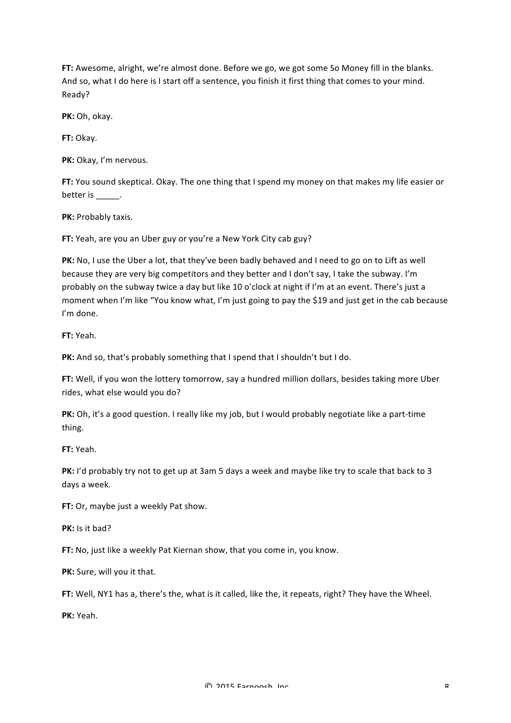FT: Awesome, alright, we're almost done. Before we go, we got some So Money fill in the blanks. And so, what I do here is I start off a sentence, you finish it first thing that comes to your mind. Ready?

PK: Oh, okay.

**FT:** Okay.

PK: Okay, I'm nervous.

**FT:** You sound skeptical. Okay. The one thing that I spend my money on that makes my life easier or better is  $\_\_\_\_\_\_\$ .

**PK: Probably taxis.** 

FT: Yeah, are you an Uber guy or you're a New York City cab guy?

PK: No, I use the Uber a lot, that they've been badly behaved and I need to go on to Lift as well because they are very big competitors and they better and I don't say, I take the subway. I'm probably on the subway twice a day but like 10 o'clock at night if I'm at an event. There's just a moment when I'm like "You know what, I'm just going to pay the \$19 and just get in the cab because I'm done.

**FT:** Yeah.!

PK: And so, that's probably something that I spend that I shouldn't but I do.

FT: Well, if you won the lottery tomorrow, say a hundred million dollars, besides taking more Uber rides, what else would you do?

**PK:** Oh, it's a good question. I really like my job, but I would probably negotiate like a part-time thing.

**FT:** Yeah.

**PK:** I'd probably try not to get up at 3am 5 days a week and maybe like try to scale that back to 3 days a week.

**FT:** Or, maybe just a weekly Pat show.

**PK:** Is it bad?

**FT:** No, just like a weekly Pat Kiernan show, that you come in, you know.

PK: Sure, will you it that.

**FT:** Well, NY1 has a, there's the, what is it called, like the, it repeats, right? They have the Wheel.

**PK:** Yeah.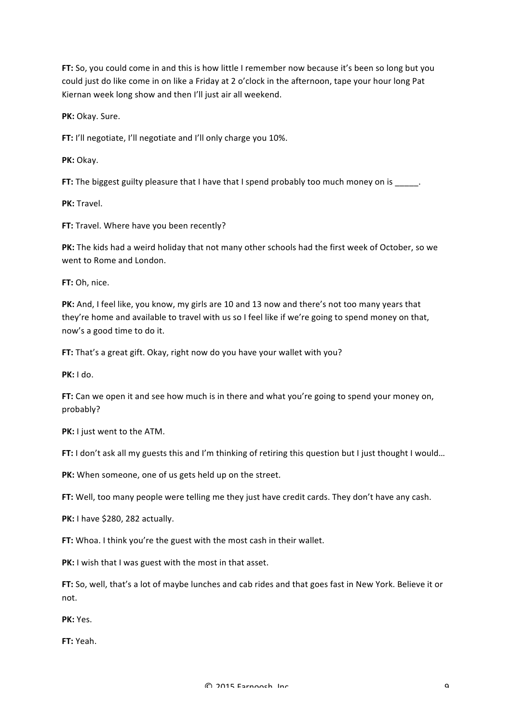**FT:** So, you could come in and this is how little I remember now because it's been so long but you could just do like come in on like a Friday at 2 o'clock in the afternoon, tape your hour long Pat Kiernan week long show and then I'll just air all weekend.

PK: Okay. Sure.

**FT:** I'll negotiate, I'll negotiate and I'll only charge you 10%.

**PK:** Okay.

**FT:** The biggest guilty pleasure that I have that I spend probably too much money on is \_\_\_\_\_.

**PK:** Travel.

FT: Travel. Where have you been recently?

**PK:** The kids had a weird holiday that not many other schools had the first week of October, so we went to Rome and London.

**FT:** Oh, nice.

PK: And, I feel like, you know, my girls are 10 and 13 now and there's not too many years that they're home and available to travel with us so I feel like if we're going to spend money on that, now's a good time to do it.

**FT:** That's a great gift. Okay, right now do you have your wallet with you?

**PK:** I do.

**FT:** Can we open it and see how much is in there and what you're going to spend your money on, probably?

**PK:** I just went to the ATM.

**FT:** I don't ask all my guests this and I'm thinking of retiring this question but I just thought I would...

PK: When someone, one of us gets held up on the street.

FT: Well, too many people were telling me they just have credit cards. They don't have any cash.

**PK:** I have \$280, 282 actually.

**FT:** Whoa. I think you're the guest with the most cash in their wallet.

PK: I wish that I was guest with the most in that asset.

**FT:** So, well, that's a lot of maybe lunches and cab rides and that goes fast in New York. Believe it or not.

**PK:** Yes.

**FT:** Yeah.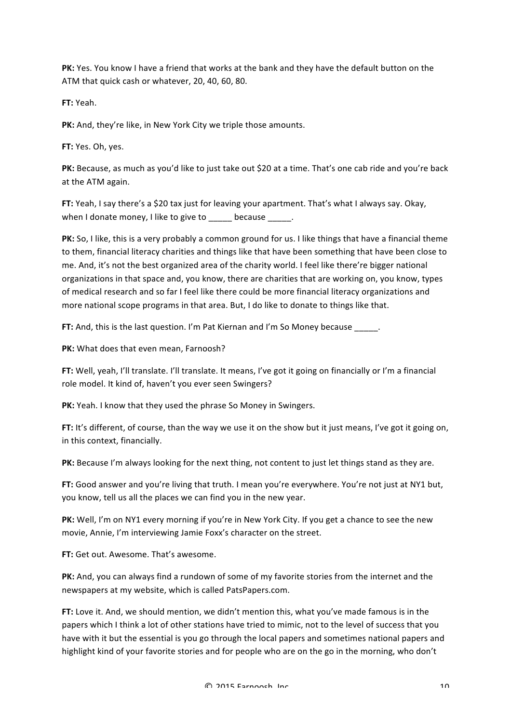PK: Yes. You know I have a friend that works at the bank and they have the default button on the ATM that quick cash or whatever, 20, 40, 60, 80.

**FT:** Yeah.

**PK:** And, they're like, in New York City we triple those amounts.

**FT:** Yes. Oh. yes.

PK: Because, as much as you'd like to just take out \$20 at a time. That's one cab ride and you're back at the ATM again.

**FT:** Yeah, I say there's a \$20 tax just for leaving your apartment. That's what I always say. Okay, when I donate money, I like to give to \_\_\_\_\_ because \_\_\_\_\_.

**PK:** So, I like, this is a very probably a common ground for us. I like things that have a financial theme to them, financial literacy charities and things like that have been something that have been close to me. And, it's not the best organized area of the charity world. I feel like there're bigger national organizations in that space and, you know, there are charities that are working on, you know, types of medical research and so far I feel like there could be more financial literacy organizations and more national scope programs in that area. But, I do like to donate to things like that.

**FT:** And, this is the last question. I'm Pat Kiernan and I'm So Money because .

**PK:** What does that even mean, Farnoosh?

**FT:** Well, yeah, I'll translate. I'll translate. It means, I've got it going on financially or I'm a financial role model. It kind of, haven't you ever seen Swingers?

**PK:** Yeah. I know that they used the phrase So Money in Swingers.

FT: It's different, of course, than the way we use it on the show but it just means, I've got it going on, in this context, financially.

**PK:** Because I'm always looking for the next thing, not content to just let things stand as they are.

**FT:** Good answer and you're living that truth. I mean you're everywhere. You're not just at NY1 but. you know, tell us all the places we can find you in the new year.

**PK:** Well, I'm on NY1 every morning if you're in New York City. If you get a chance to see the new movie, Annie, I'm interviewing Jamie Foxx's character on the street.

**FT:** Get out. Awesome. That's awesome.

PK: And, you can always find a rundown of some of my favorite stories from the internet and the newspapers at my website, which is called PatsPapers.com.

**FT:** Love it. And, we should mention, we didn't mention this, what you've made famous is in the papers which I think a lot of other stations have tried to mimic, not to the level of success that you have with it but the essential is you go through the local papers and sometimes national papers and highlight kind of your favorite stories and for people who are on the go in the morning, who don't